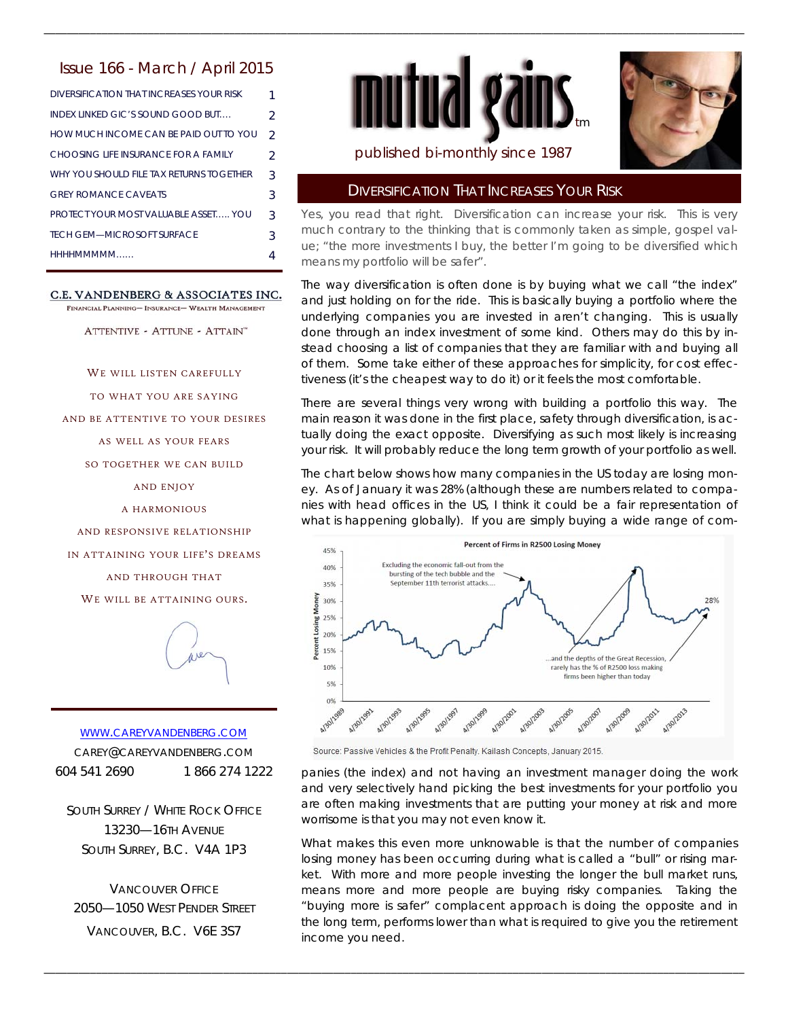### Issue 166 - March / April 2015

| DIVERSIFICATION THAT INCREASES YOUR RISK    | 1              |
|---------------------------------------------|----------------|
| INDEX LINKED GIC'S SOUND GOOD BUT           | $\mathfrak{D}$ |
| HOW MUCH INCOME CAN BE PAID OUT TO YOU      | $\mathcal{P}$  |
| CHOOSING LIFE INSURANCE FOR A FAMILY        | $\mathcal{P}$  |
| WHY YOU SHOULD FILE TAX RETURNS TOGETHER    | 3              |
| <b>GREY ROMANCE CAVEATS</b>                 | 3              |
| <b>PROTECT YOUR MOST VALUABLE ASSET YOU</b> | 3              |
| <b>TECH GEM-MICROSOFT SURFACE</b>           | 3              |
| HHHHMMMMM                                   |                |

#### C.E. VANDENBERG & ASSOCIATES INC.

FINANCIAL PLANNING- INSURANCE- WEALTH MANAGEMENT

ATTENTIVE - ATTUNE - ATTAIN"

WE WILL LISTEN CAREFULLY

TO WHAT YOU ARE SAYING

AND BE ATTENTIVE TO YOUR DESIRES

AS WELL AS YOUR FEARS

SO TOGETHER WE CAN BUILD

AND ENJOY

A HARMONIOUS

AND RESPONSIVE RELATIONSHIP

IN ATTAINING YOUR LIFE'S DREAMS

AND THROUGH THAT

WE WILL BE ATTAINING OURS.



WWW.CAREYVANDENBERG.COM CAREY@CAREYVANDENBERG.COM 604 541 2690 1 866 274 1222

SOUTH SURREY / WHITE ROCK OFFICE 13230—16TH AVENUE SOUTH SURREY, B.C. V4A 1P3

VANCOUVER OFFICE 2050—1050 WEST PENDER STREET VANCOUVER, B.C. V6E 3S7



\_\_\_\_\_\_\_\_\_\_\_\_\_\_\_\_\_\_\_\_\_\_\_\_\_\_\_\_\_\_\_\_\_\_\_\_\_\_\_\_\_\_\_\_\_\_\_\_\_\_\_\_\_\_\_\_\_\_\_\_\_\_\_\_\_\_\_\_\_\_\_\_\_\_\_\_\_\_\_\_\_\_\_\_\_\_\_\_\_\_\_\_\_\_\_\_\_\_\_\_\_\_\_\_\_\_\_\_\_\_\_\_\_\_\_\_\_\_\_\_\_



# published bi-monthly since 1987

#### DIVERSIFICATION THAT INCREASES YOUR RISK

Yes, you read that right. Diversification can increase your risk. This is very much contrary to the thinking that is commonly taken as simple, gospel value; "the more investments I buy, the better I'm going to be diversified which means my portfolio will be safer".

The way diversification is often done is by buying what we call "the index" and just holding on for the ride. This is basically buying a portfolio where the underlying companies you are invested in aren't changing. This is usually done through an index investment of some kind. Others may do this by instead choosing a list of companies that they are familiar with and buying all of them. Some take either of these approaches for simplicity, for cost effectiveness (it's the cheapest way to do it) or it feels the most comfortable.

There are several things very wrong with building a portfolio this way. The main reason it was done in the first place, safety through diversification, is actually doing the exact opposite. Diversifying as such most likely is increasing your risk. It will probably reduce the long term growth of your portfolio as well.

The chart below shows how many companies in the US today are losing money. As of January it was 28% (although these are numbers related to companies with head offices in the US, I think it could be a fair representation of what is happening globally). If you are simply buying a wide range of com-



Source: Passive Vehicles & the Profit Penalty. Kailash Concepts, January 2015.

\_\_\_\_\_\_\_\_\_\_\_\_\_\_\_\_\_\_\_\_\_\_\_\_\_\_\_\_\_\_\_\_\_\_\_\_\_\_\_\_\_\_\_\_\_\_\_\_\_\_\_\_\_\_\_\_\_\_\_\_\_\_\_\_\_\_\_\_\_\_\_\_\_\_\_\_\_\_\_\_\_\_\_\_\_\_\_\_\_\_\_\_\_\_\_\_\_\_\_\_\_\_\_\_\_\_\_\_\_\_\_\_\_\_\_\_\_\_\_\_\_

panies (the index) and not having an investment manager doing the work and very selectively hand picking the best investments for your portfolio you are often making investments that are putting your money at risk and more worrisome is that you may not even know it.

What makes this even more unknowable is that the number of companies losing money has been occurring during what is called a "bull" or rising market. With more and more people investing the longer the bull market runs, means more and more people are buying risky companies. Taking the "buying more is safer" complacent approach is doing the opposite and in the long term, performs lower than what is required to give you the retirement income you need.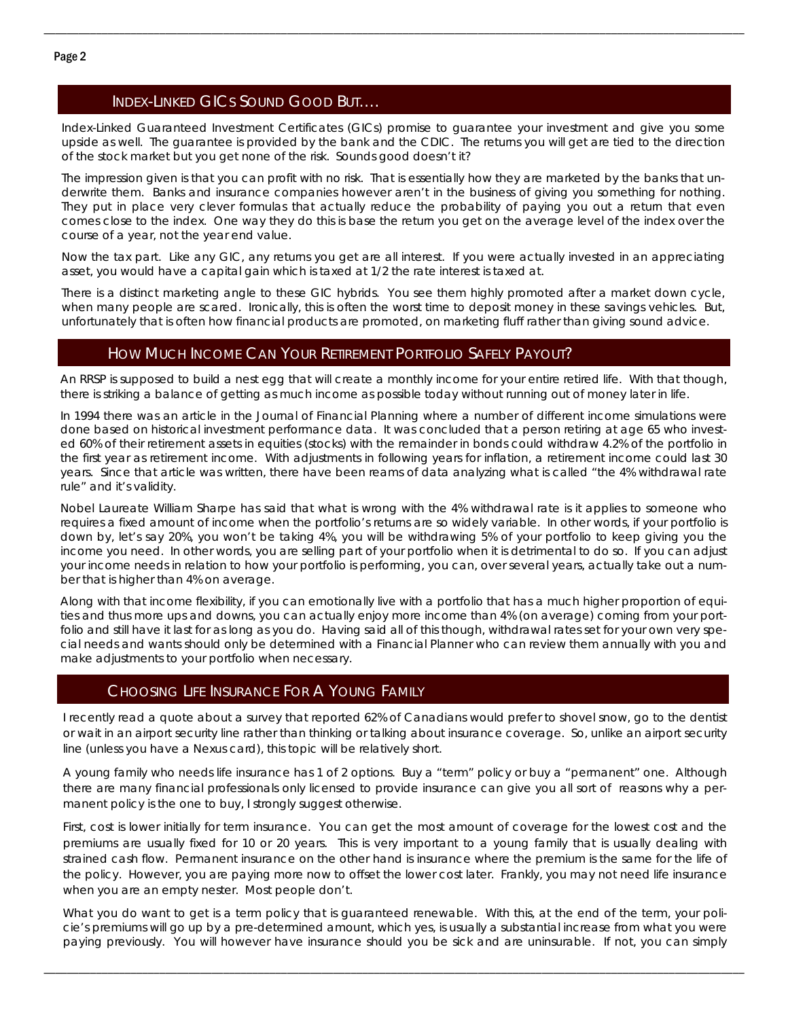# INDEX-LINKED GICS SOUND GOOD BUT….

Index-Linked Guaranteed Investment Certificates (GICs) promise to guarantee your investment and give you some upside as well. The guarantee is provided by the bank and the CDIC. The returns you will get are tied to the direction of the stock market but you get none of the risk. Sounds good doesn't it?

\_\_\_\_\_\_\_\_\_\_\_\_\_\_\_\_\_\_\_\_\_\_\_\_\_\_\_\_\_\_\_\_\_\_\_\_\_\_\_\_\_\_\_\_\_\_\_\_\_\_\_\_\_\_\_\_\_\_\_\_\_\_\_\_\_\_\_\_\_\_\_\_\_\_\_\_\_\_\_\_\_\_\_\_\_\_\_\_\_\_\_\_\_\_\_\_\_\_\_\_\_\_\_\_\_\_\_\_\_\_\_\_\_\_\_\_\_\_\_\_\_

The impression given is that you can profit with no risk. That is essentially how they are marketed by the banks that underwrite them. Banks and insurance companies however aren't in the business of giving you something for nothing. They put in place very clever formulas that actually reduce the probability of paying you out a return that even comes close to the index. One way they do this is base the return you get on the average level of the index over the course of a year, not the year end value.

Now the tax part. Like any GIC, any returns you get are all interest. If you were actually invested in an appreciating asset, you would have a capital gain which is taxed at 1/2 the rate interest is taxed at.

There is a distinct marketing angle to these GIC hybrids. You see them highly promoted after a market down cycle, when many people are scared. Ironically, this is often the worst time to deposit money in these savings vehicles. But, unfortunately that is often how financial products are promoted, on marketing fluff rather than giving sound advice.

### HOW MUCH INCOME CAN YOUR RETIREMENT PORTFOLIO SAFELY PAYOUT?

An RRSP is supposed to build a nest egg that will create a monthly income for your entire retired life. With that though, there is striking a balance of getting as much income as possible today without running out of money later in life.

In 1994 there was an article in the Journal of Financial Planning where a number of different income simulations were done based on historical investment performance data. It was concluded that a person retiring at age 65 who invested 60% of their retirement assets in equities (stocks) with the remainder in bonds could withdraw 4.2% of the portfolio in the first year as retirement income. With adjustments in following years for inflation, a retirement income could last 30 years. Since that article was written, there have been reams of data analyzing what is called "the 4% withdrawal rate rule" and it's validity.

Nobel Laureate William Sharpe has said that what is wrong with the 4% withdrawal rate is it applies to someone who requires a fixed amount of income when the portfolio's returns are so widely variable. In other words, if your portfolio is down by, let's say 20%, you won't be taking 4%, you will be withdrawing 5% of your portfolio to keep giving you the income you need. In other words, you are selling part of your portfolio when it is detrimental to do so. If you can adjust your income needs in relation to how your portfolio is performing, you can, over several years, actually take out a number that is higher than 4% on average.

Along with that income flexibility, if you can emotionally live with a portfolio that has a much higher proportion of equities and thus more ups and downs, you can actually enjoy more income than 4% (on average) coming from your portfolio and still have it last for as long as you do. Having said all of this though, withdrawal rates set for your own very special needs and wants should only be determined with a Financial Planner who can review them annually with you and make adjustments to your portfolio when necessary.

### CHOOSING LIFE INSURANCE FOR A YOUNG FAMILY

I recently read a quote about a survey that reported 62% of Canadians would prefer to shovel snow, go to the dentist or wait in an airport security line rather than thinking or talking about insurance coverage. So, unlike an airport security line (unless you have a Nexus card), this topic will be relatively short.

A young family who needs life insurance has 1 of 2 options. Buy a "term" policy or buy a "permanent" one. Although there are many financial professionals only licensed to provide insurance can give you all sort of reasons why a permanent policy is the one to buy, I strongly suggest otherwise.

First, cost is lower initially for term insurance. You can get the most amount of coverage for the lowest cost and the premiums are usually fixed for 10 or 20 years. This is very important to a young family that is usually dealing with strained cash flow. Permanent insurance on the other hand is insurance where the premium is the same for the life of the policy. However, you are paying more now to offset the lower cost later. Frankly, you may not need life insurance when you are an empty nester. Most people don't.

What you do want to get is a term policy that is guaranteed renewable. With this, at the end of the term, your policie's premiums will go up by a pre-determined amount, which yes, is usually a substantial increase from what you were paying previously. You will however have insurance should you be sick and are uninsurable. If not, you can simply

\_\_\_\_\_\_\_\_\_\_\_\_\_\_\_\_\_\_\_\_\_\_\_\_\_\_\_\_\_\_\_\_\_\_\_\_\_\_\_\_\_\_\_\_\_\_\_\_\_\_\_\_\_\_\_\_\_\_\_\_\_\_\_\_\_\_\_\_\_\_\_\_\_\_\_\_\_\_\_\_\_\_\_\_\_\_\_\_\_\_\_\_\_\_\_\_\_\_\_\_\_\_\_\_\_\_\_\_\_\_\_\_\_\_\_\_\_\_\_\_\_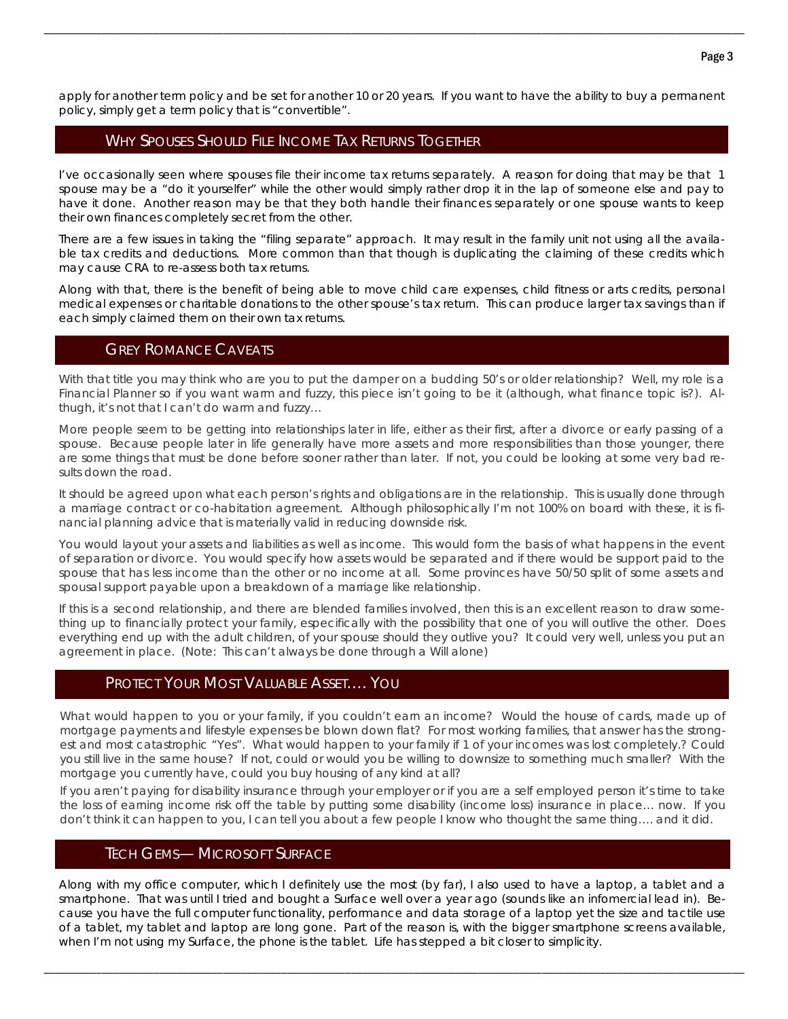apply for another term policy and be set for another 10 or 20 years. If you want to have the ability to buy a permanent policy, simply get a term policy that is "convertible".

\_\_\_\_\_\_\_\_\_\_\_\_\_\_\_\_\_\_\_\_\_\_\_\_\_\_\_\_\_\_\_\_\_\_\_\_\_\_\_\_\_\_\_\_\_\_\_\_\_\_\_\_\_\_\_\_\_\_\_\_\_\_\_\_\_\_\_\_\_\_\_\_\_\_\_\_\_\_\_\_\_\_\_\_\_\_\_\_\_\_\_\_\_\_\_\_\_\_\_\_\_\_\_\_\_\_\_\_\_\_\_\_\_\_\_\_\_\_\_\_\_

# WHY SPOUSES SHOULD FILE INCOME TAX RETURNS TOGETHER

I've occasionally seen where spouses file their income tax returns separately. A reason for doing that may be that 1 spouse may be a "do it yourselfer" while the other would simply rather drop it in the lap of someone else and pay to have it done. Another reason may be that they both handle their finances separately or one spouse wants to keep their own finances completely secret from the other.

There are a few issues in taking the "filing separate" approach. It may result in the family unit not using all the available tax credits and deductions. More common than that though is duplicating the claiming of these credits which may cause CRA to re-assess both tax returns.

Along with that, there is the benefit of being able to move child care expenses, child fitness or arts credits, personal medical expenses or charitable donations to the other spouse's tax return. This can produce larger tax savings than if each simply claimed them on their own tax returns.

#### GREY ROMANCE CAVEATS

With that title you may think who are you to put the damper on a budding 50's or older relationship? Well, my role is a Financial Planner so if you want warm and fuzzy, this piece isn't going to be it (although, what finance topic is?). Althugh, it's not that I can't do warm and fuzzy…

More people seem to be getting into relationships later in life, either as their first, after a divorce or early passing of a spouse. Because people later in life generally have more assets and more responsibilities than those younger, there are some things that must be done before sooner rather than later. If not, you could be looking at some very bad results down the road.

It should be agreed upon what each person's rights and obligations are in the relationship. This is usually done through a marriage contract or co-habitation agreement. Although philosophically I'm not 100% on board with these, it is financial planning advice that is materially valid in reducing downside risk.

You would layout your assets and liabilities as well as income. This would form the basis of what happens in the event of separation or divorce. You would specify how assets would be separated and if there would be support paid to the spouse that has less income than the other or no income at all. Some provinces have 50/50 split of some assets and spousal support payable upon a breakdown of a marriage like relationship.

If this is a second relationship, and there are blended families involved, then this is an excellent reason to draw something up to financially protect your family, especifically with the possibility that one of you will outlive the other. Does everything end up with the adult children, of your spouse should they outlive you? It could very well, unless you put an agreement in place. (Note: This can't always be done through a Will alone)

## PROTECT YOUR MOST VALUABLE ASSET…. YOU

What would happen to you or your family, if you couldn't earn an income? Would the house of cards, made up of mortgage payments and lifestyle expenses be blown down flat? For most working families, that answer has the strongest and most catastrophic "Yes". What would happen to your family if 1 of your incomes was lost completely.? Could you still live in the same house? If not, could or would you be willing to downsize to something much smaller? With the mortgage you currently have, could you buy housing of any kind at all?

If you aren't paying for disability insurance through your employer or if you are a self employed person it's time to take the loss of earning income risk off the table by putting some disability (income loss) insurance in place… now. If you don't think it can happen to you, I can tell you about a few people I know who thought the same thing…. and it did.

#### TECH GEMS— MICROSOFT SURFACE

Along with my office computer, which I definitely use the most (by far), I also used to have a laptop, a tablet and a smartphone. That was until I tried and bought a Surface well over a year ago (sounds like an infomercial lead in). Because you have the full computer functionality, performance and data storage of a laptop yet the size and tactile use of a tablet, my tablet and laptop are long gone. Part of the reason is, with the bigger smartphone screens available, when I'm not using my Surface, the phone is the tablet. Life has stepped a bit closer to simplicity.

\_\_\_\_\_\_\_\_\_\_\_\_\_\_\_\_\_\_\_\_\_\_\_\_\_\_\_\_\_\_\_\_\_\_\_\_\_\_\_\_\_\_\_\_\_\_\_\_\_\_\_\_\_\_\_\_\_\_\_\_\_\_\_\_\_\_\_\_\_\_\_\_\_\_\_\_\_\_\_\_\_\_\_\_\_\_\_\_\_\_\_\_\_\_\_\_\_\_\_\_\_\_\_\_\_\_\_\_\_\_\_\_\_\_\_\_\_\_\_\_\_